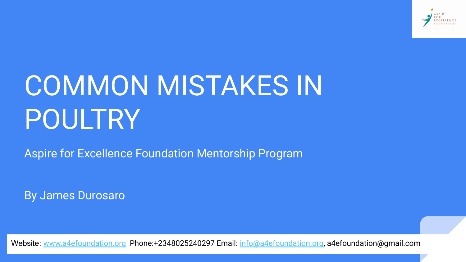

# COMMON MISTAKES IN POULTRY

Aspire for Excellence Foundation Mentorship Program

By James Durosaro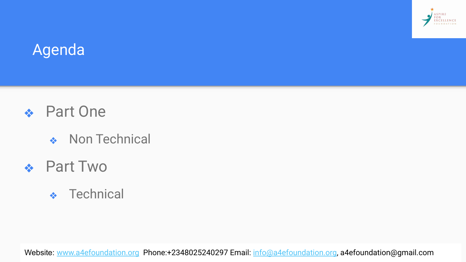

#### Agenda

- ❖ Part One
	- ❖ Non Technical

#### ❖ Part Two

❖ Technical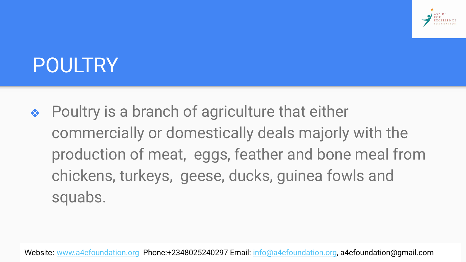

### POULTRY

◆ Poultry is a branch of agriculture that either commercially or domestically deals majorly with the production of meat, eggs, feather and bone meal from chickens, turkeys, geese, ducks, guinea fowls and squabs.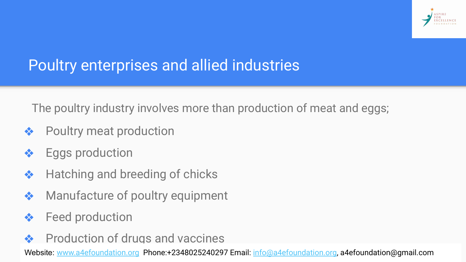

#### Poultry enterprises and allied industries

The poultry industry involves more than production of meat and eggs;

- ❖ Poultry meat production
- **❖** Eggs production
- ❖ Hatching and breeding of chicks
- ❖ Manufacture of poultry equipment
- **❖** Feed production
- **❖** Production of drugs and vaccines

 $\frac{1}{2}$  Provision  $\frac{1}{2}$   $\frac{1}{2}$   $\frac{1}{2}$   $\frac{1}{2}$   $\frac{1}{2}$   $\frac{1}{2}$   $\frac{1}{2}$   $\frac{1}{2}$   $\frac{1}{2}$   $\frac{1}{2}$   $\frac{1}{2}$   $\frac{1}{2}$   $\frac{1}{2}$   $\frac{1}{2}$   $\frac{1}{2}$   $\frac{1}{2}$   $\frac{1}{2}$   $\frac{1}{2}$   $\frac{1}{2}$   $\frac{1}{2}$  Website: [www.a4efoundation.org](http://www.a4efoundation.org) Phone:+2348025240297 Email: [info@a4efoundation.org,](mailto:info@a4efoundation.org) a4efoundation@gmail.com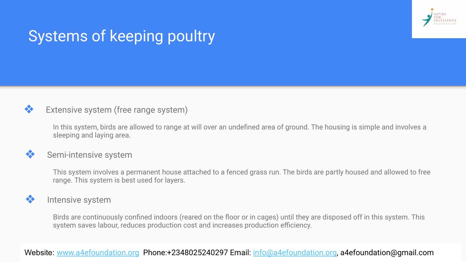

#### Systems of keeping poultry

#### ❖ Extensive system (free range system)

In this system, birds are allowed to range at will over an undefined area of ground. The housing is simple and involves a sleeping and laying area.

#### **❖** Semi-intensive system

This system involves a permanent house attached to a fenced grass run. The birds are partly housed and allowed to free range. This system is best used for layers.

#### ❖ Intensive system

Birds are continuously confined indoors (reared on the floor or in cages) until they are disposed off in this system. This system saves labour, reduces production cost and increases production efficiency.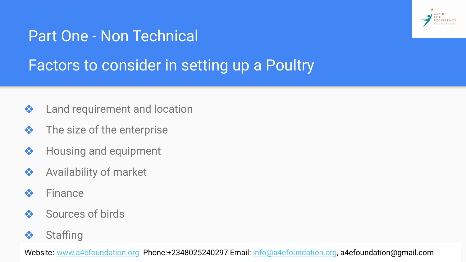

#### Part One - Non Technical

#### Factors to consider in setting up a Poultry

- **❖** Land requirement and location
- $\triangle$  The size of the enterprise
- ❖ Housing and equipment
- ❖ Availability of market
- ❖ Finance
- ❖ Sources of birds
- ❖ Staffing

Website: <u>[www.a4efoundation.org](http://www.a4efoundation.org)</u> Phone:+2348025240297 Email: <u>info@a4efoundation.org</u>, a4efoundation@gmail.com<br>.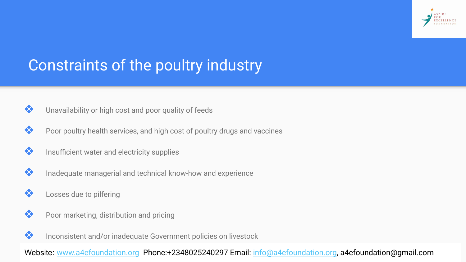

#### Constraints of the poultry industry

- ❖ Unavailability or high cost and poor quality of feeds
- ◆ Poor poultry health services, and high cost of poultry drugs and vaccines
- ❖ Insufficient water and electricity supplies
- ❖ Inadequate managerial and technical know-how and experience
- ❖ Losses due to pilfering
- ◆ Poor marketing, distribution and pricing
- ❖ Inconsistent and/or inadequate Government policies on livestock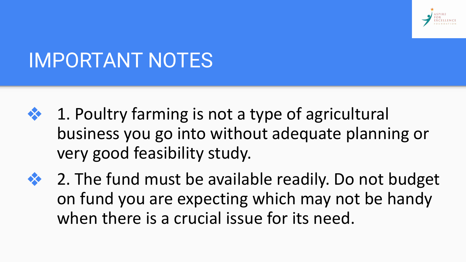

### IMPORTANT NOTES

- ❖ 1. Poultry farming is not a type of agricultural business you go into without adequate planning or very good feasibility study.
- ❖ 2. The fund must be available readily. Do not budget on fund you are expecting which may not be handy when there is a crucial issue for its need.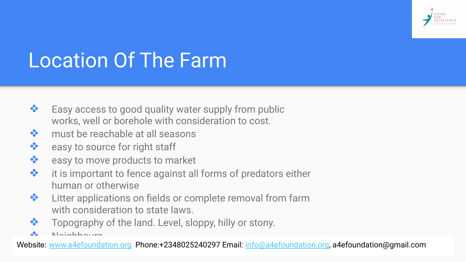

## Location Of The Farm

- ❖ Easy access to good quality water supply from public works, well or borehole with consideration to cost.
- ❖ must be reachable at all seasons
- ❖ easy to source for right staff
- ❖ easy to move products to market
- ❖ it is important to fence against all forms of predators either human or otherwise
- ❖ Litter applications on fields or complete removal from farm with consideration to state laws.
- Topography of the land. Level, sloppy, hilly or stony.
- Neighbours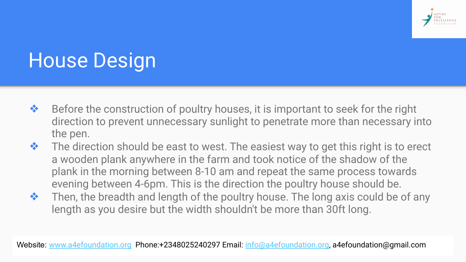

## House Design

- ❖ Before the construction of poultry houses, it is important to seek for the right direction to prevent unnecessary sunlight to penetrate more than necessary into the pen.
- ❖ The direction should be east to west. The easiest way to get this right is to erect a wooden plank anywhere in the farm and took notice of the shadow of the plank in the morning between 8-10 am and repeat the same process towards evening between 4-6pm. This is the direction the poultry house should be.
- ❖ Then, the breadth and length of the poultry house. The long axis could be of any length as you desire but the width shouldn't be more than 30ft long.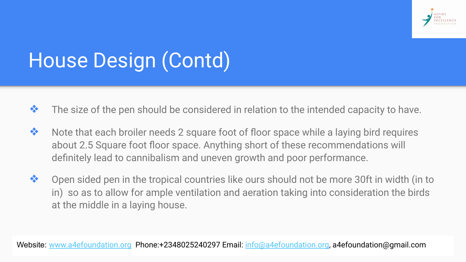

## House Design (Contd)

- $\clubsuit$  The size of the pen should be considered in relation to the intended capacity to have.
- ❖ Note that each broiler needs 2 square foot of floor space while a laying bird requires about 2.5 Square foot floor space. Anything short of these recommendations will definitely lead to cannibalism and uneven growth and poor performance.
- ❖ Open sided pen in the tropical countries like ours should not be more 30ft in width (in to in) so as to allow for ample ventilation and aeration taking into consideration the birds at the middle in a laying house.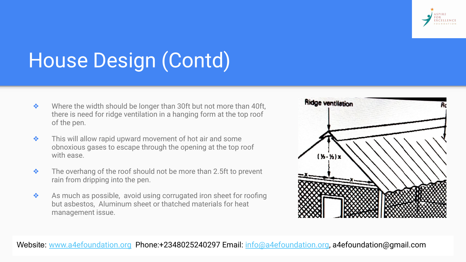

## House Design (Contd)

- ❖ Where the width should be longer than 30ft but not more than 40ft, there is need for ridge ventilation in a hanging form at the top roof of the pen.
- ❖ This will allow rapid upward movement of hot air and some obnoxious gases to escape through the opening at the top roof with ease.
- ❖ The overhang of the roof should not be more than 2.5ft to prevent rain from dripping into the pen.
- ❖ As much as possible, avoid using corrugated iron sheet for roofing but asbestos, Aluminum sheet or thatched materials for heat management issue.

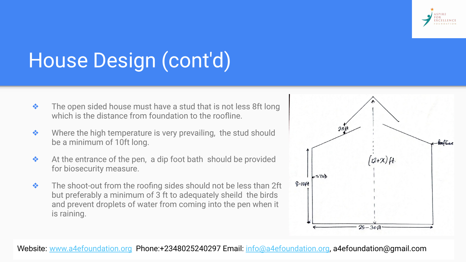

## House Design (cont'd)

- $\bullet$  The open sided house must have a stud that is not less 8ft long which is the distance from foundation to the roofline.
- ❖ Where the high temperature is very prevailing, the stud should be a minimum of 10ft long.
- ❖ At the entrance of the pen, a dip foot bath should be provided for biosecurity measure.
- ❖ The shoot-out from the roofing sides should not be less than 2ft but preferably a minimum of 3 ft to adequately sheild the birds and prevent droplets of water from coming into the pen when it is raining.

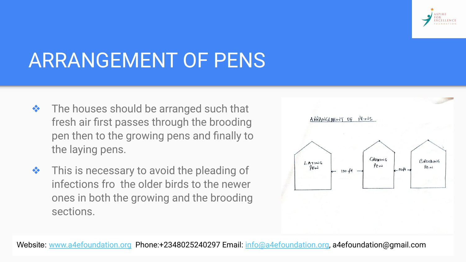

### ARRANGEMENT OF PENS

- ❖ The houses should be arranged such that fresh air first passes through the brooding pen then to the growing pens and finally to the laying pens.
- ❖ This is necessary to avoid the pleading of infections fro the older birds to the newer ones in both the growing and the brooding sections.

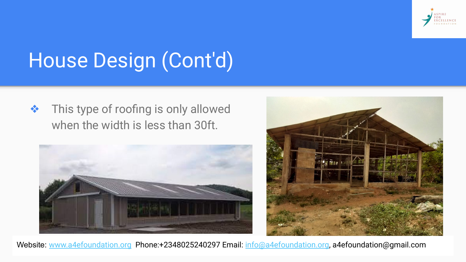

## House Design (Cont'd)

❖ This type of roofing is only allowed when the width is less than 30ft.



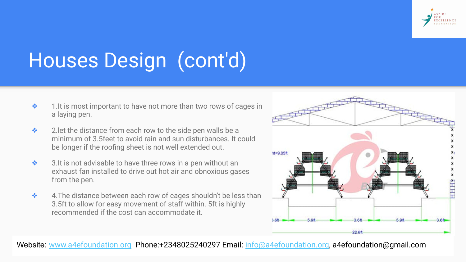

## Houses Design (cont'd)

- ❖ 1.It is most important to have not more than two rows of cages in a laying pen.
- ❖ 2.let the distance from each row to the side pen walls be a minimum of 3.5feet to avoid rain and sun disturbances. It could be longer if the roofing sheet is not well extended out.
- ❖ 3.It is not advisable to have three rows in a pen without an exhaust fan installed to drive out hot air and obnoxious gases from the pen.
- ❖ 4.The distance between each row of cages shouldn't be less than 3.5ft to allow for easy movement of staff within. 5ft is highly recommended if the cost can accommodate it.

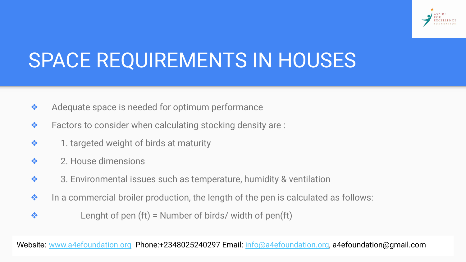

### SPACE REQUIREMENTS IN HOUSES

- ❖ Adequate space is needed for optimum performance
- $\triangle$  Factors to consider when calculating stocking density are :
- ❖ 1. targeted weight of birds at maturity
- ❖ 2. House dimensions
- ❖ 3. Environmental issues such as temperature, humidity & ventilation
- ❖ In a commercial broiler production, the length of the pen is calculated as follows:
- $\bullet$  Lenght of pen (ft) = Number of birds/ width of pen(ft)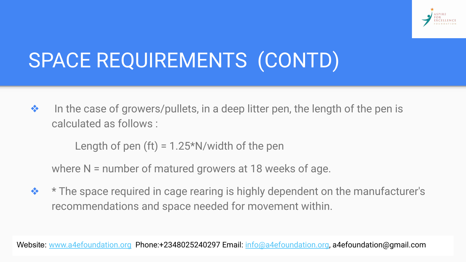

## SPACE REQUIREMENTS (CONTD)

❖ In the case of growers/pullets, in a deep litter pen, the length of the pen is calculated as follows :

Length of pen  $(ft) = 1.25*N$ /width of the pen

where N = number of matured growers at 18 weeks of age.

❖ \* The space required in cage rearing is highly dependent on the manufacturer's recommendations and space needed for movement within.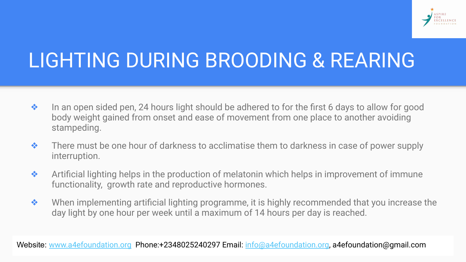

### LIGHTING DURING BROODING & REARING

- ❖ In an open sided pen, 24 hours light should be adhered to for the first 6 days to allow for good body weight gained from onset and ease of movement from one place to another avoiding stampeding.
- ❖ There must be one hour of darkness to acclimatise them to darkness in case of power supply interruption.
- ❖ Artificial lighting helps in the production of melatonin which helps in improvement of immune functionality, growth rate and reproductive hormones.
- ❖ When implementing artificial lighting programme, it is highly recommended that you increase the day light by one hour per week until a maximum of 14 hours per day is reached.